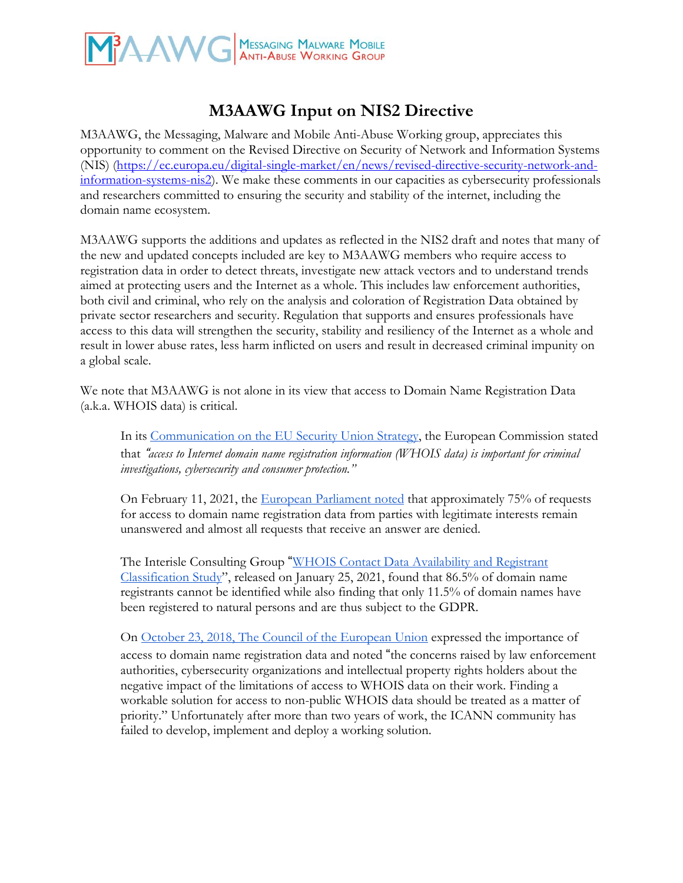

# **M3AAWG Input on NIS2 Directive**

M3AAWG, the Messaging, Malware and Mobile Anti-Abuse Working group, appreciates this opportunity to comment on the Revised Directive on Security of Network and Information Systems (NIS) [\(https://ec.europa.eu/digital-single-market/en/news/revised-directive-security-network-and](https://ec.europa.eu/digital-single-market/en/news/revised-directive-security-network-and-information-systems-nis2)[information-systems-nis2\)](https://ec.europa.eu/digital-single-market/en/news/revised-directive-security-network-and-information-systems-nis2). We make these comments in our capacities as cybersecurity professionals and researchers committed to ensuring the security and stability of the internet, including the domain name ecosystem.

M3AAWG supports the additions and updates as reflected in the NIS2 draft and notes that many of the new and updated concepts included are key to M3AAWG members who require access to registration data in order to detect threats, investigate new attack vectors and to understand trends aimed at protecting users and the Internet as a whole. This includes law enforcement authorities, both civil and criminal, who rely on the analysis and coloration of Registration Data obtained by private sector researchers and security. Regulation that supports and ensures professionals have access to this data will strengthen the security, stability and resiliency of the Internet as a whole and result in lower abuse rates, less harm inflicted on users and result in decreased criminal impunity on a global scale.

We note that M3AAWG is not alone in its view that access to Domain Name Registration Data (a.k.a. WHOIS data) is critical.

In its [Communication](https://eur-lex.europa.eu/legal-content/EN/TXT/HTML/?uri=CELEX:52020DC0605&from=EN) on the EU Security Union Strategy, the European Commission stated that "*access to Internet domain name registration information (WHOIS data) is important for criminal investigations, cybersecurity and consumer protection."* 

On February 11, 2021, the European [Parliament](https://www.europarl.europa.eu/doceo/document/E-9-2020-000826_EN.html) noted that approximately 75% of requests for access to domain name registration data from parties with legitimate interests remain unanswered and almost all requests that receive an answer are denied.

The Interisle Consulting Group ["](http://interisle.net/ContactStudy2021.html)WHOIS Contact Data [Availability](http://interisle.net/ContactStudy2021.html) and Registrant [Classification](http://interisle.net/ContactStudy2021.html) Study", released on January 25, 2021, found that 86.5% of domain name registrants cannot be identified while also finding that only 11.5% of domain names have been registered to natural persons and are thus subject to the GDPR.

On October 23, 2018, The Council of the [European](https://data.consilium.europa.eu/doc/document/ST-13443-2018-INIT/en/pdf) Union expressed the importance of access to domain name registration data and noted "the concerns raised by law enforcement authorities, cybersecurity organizations and intellectual property rights holders about the negative impact of the limitations of access to WHOIS data on their work. Finding a workable solution for access to non-public WHOIS data should be treated as a matter of priority." Unfortunately after more than two years of work, the ICANN community has failed to develop, implement and deploy a working solution.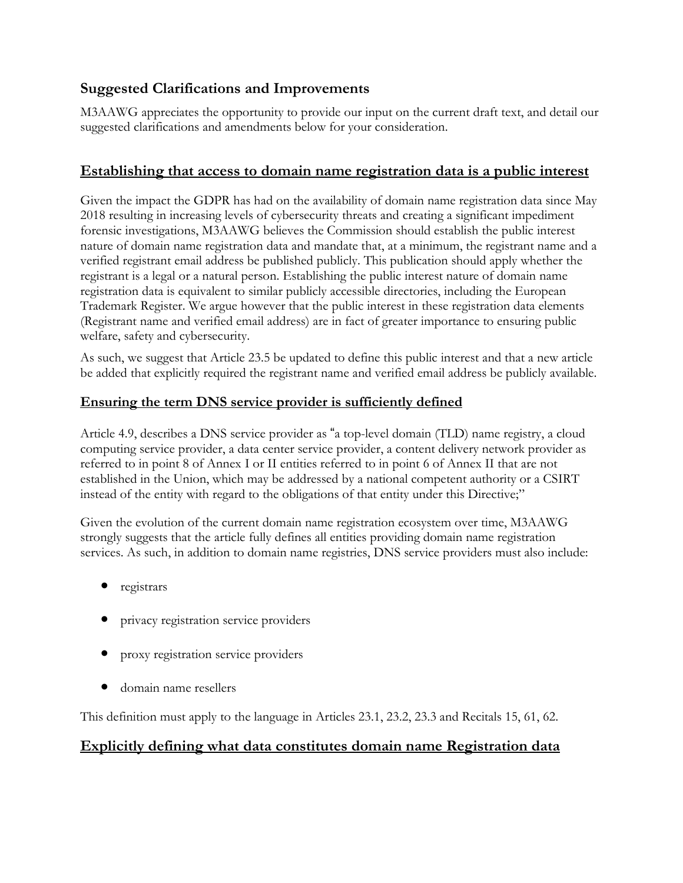# **Suggested Clarifications and Improvements**

M3AAWG appreciates the opportunity to provide our input on the current draft text, and detail our suggested clarifications and amendments below for your consideration.

## **Establishing that access to domain name registration data is a public interest**

Given the impact the GDPR has had on the availability of domain name registration data since May 2018 resulting in increasing levels of cybersecurity threats and creating a significant impediment forensic investigations, M3AAWG believes the Commission should establish the public interest nature of domain name registration data and mandate that, at a minimum, the registrant name and a verified registrant email address be published publicly. This publication should apply whether the registrant is a legal or a natural person. Establishing the public interest nature of domain name registration data is equivalent to similar publicly accessible directories, including the European Trademark Register. We argue however that the public interest in these registration data elements (Registrant name and verified email address) are in fact of greater importance to ensuring public welfare, safety and cybersecurity.

As such, we suggest that Article 23.5 be updated to define this public interest and that a new article be added that explicitly required the registrant name and verified email address be publicly available.

#### **Ensuring the term DNS service provider is sufficiently defined**

Article 4.9, describes a DNS service provider as "a top-level domain (TLD) name registry, a cloud computing service provider, a data center service provider, a content delivery network provider as referred to in point 8 of Annex I or II entities referred to in point 6 of Annex II that are not established in the Union, which may be addressed by a national competent authority or a CSIRT instead of the entity with regard to the obligations of that entity under this Directive;"

Given the evolution of the current domain name registration ecosystem over time, M3AAWG strongly suggests that the article fully defines all entities providing domain name registration services. As such, in addition to domain name registries, DNS service providers must also include:

- registrars
- privacy registration service providers
- proxy registration service providers
- domain name resellers

This definition must apply to the language in Articles 23.1, 23.2, 23.3 and Recitals 15, 61, 62.

#### **Explicitly defining what data constitutes domain name Registration data**